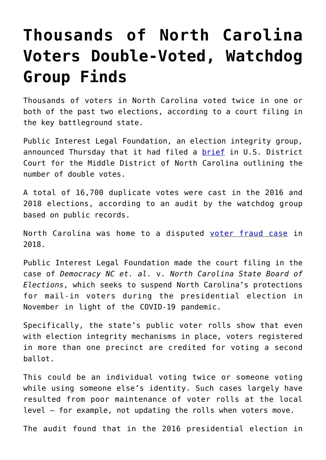## **[Thousands of North Carolina](https://intellectualtakeout.org/2020/07/thousands-of-north-carolina-voters-double-voted-watchdog-group-finds/) [Voters Double-Voted, Watchdog](https://intellectualtakeout.org/2020/07/thousands-of-north-carolina-voters-double-voted-watchdog-group-finds/) [Group Finds](https://intellectualtakeout.org/2020/07/thousands-of-north-carolina-voters-double-voted-watchdog-group-finds/)**

Thousands of voters in North Carolina voted twice in one or both of the past two elections, according to a court filing in the key battleground state.

Public Interest Legal Foundation, an election integrity group, announced Thursday that it had filed a [brief](https://publicinterestlegal.org/files/85-Foundation-Amicus-Brief.pdf) in U.S. District Court for the Middle District of North Carolina outlining the number of double votes.

A total of 16,700 duplicate votes were cast in the 2016 and 2018 elections, according to an audit by the watchdog group based on public records.

North Carolina was home to a disputed [voter fraud case](https://www.dailysignal.com/2018/12/20/yes-what-happened-in-north-carolina-is-voter-fraud/) in 2018.

Public Interest Legal Foundation made the court filing in the case of *Democracy NC et. al.* v. *North Carolina State Board of Elections*, which seeks to suspend North Carolina's protections for mail-in voters during the presidential election in November in light of the COVID-19 pandemic.

Specifically, the state's public voter rolls show that even with election integrity mechanisms in place, voters registered in more than one precinct are credited for voting a second ballot.

This could be an individual voting twice or someone voting while using someone else's identity. Such cases largely have resulted from poor maintenance of voter rolls at the local level – for example, not updating the rolls when voters move.

The audit found that in the 2016 presidential election in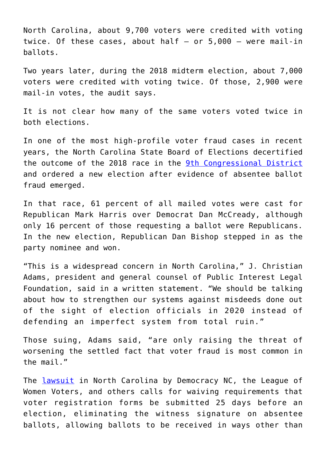North Carolina, about 9,700 voters were credited with voting twice. Of these cases, about half  $-$  or 5,000  $-$  were mail-in ballots.

Two years later, during the 2018 midterm election, about 7,000 voters were credited with voting twice. Of those, 2,900 were mail-in votes, the audit says.

It is not clear how many of the same voters voted twice in both elections.

In one of the most high-profile voter fraud cases in recent years, the North Carolina State Board of Elections decertified the outcome of the 2018 race in the [9th Congressional District](https://www.dailysignal.com/2018/12/20/yes-what-happened-in-north-carolina-is-voter-fraud/) and ordered a new election after evidence of absentee ballot fraud emerged.

In that race, 61 percent of all mailed votes were cast for Republican Mark Harris over Democrat Dan McCready, although only 16 percent of those requesting a ballot were Republicans. In the new election, Republican Dan Bishop stepped in as the party nominee and won.

"This is a widespread concern in North Carolina," J. Christian Adams, president and general counsel of Public Interest Legal Foundation, said in a written statement. "We should be talking about how to strengthen our systems against misdeeds done out of the sight of election officials in 2020 instead of defending an imperfect system from total ruin."

Those suing, Adams said, "are only raising the threat of worsening the settled fact that voter fraud is most common in the mail."

The [lawsuit](https://642cf75b-6e65-4c0d-82e2-11357e0523f7.filesusr.com/ugd/f64377_2b70e64cd2584312ab032ab7c2d8328c.pdf) in North Carolina by Democracy NC, the League of Women Voters, and others calls for waiving requirements that voter registration forms be submitted 25 days before an election, eliminating the witness signature on absentee ballots, allowing ballots to be received in ways other than